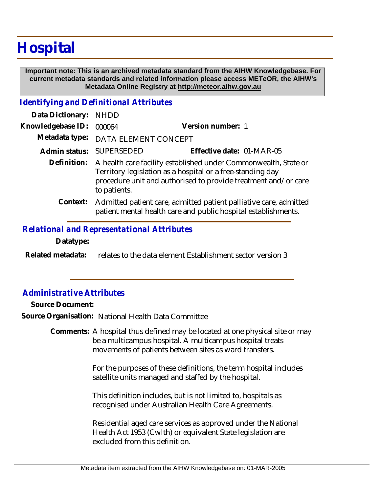# **Hospital**

 **Important note: This is an archived metadata standard from the AIHW Knowledgebase. For current metadata standards and related information please access METeOR, the AIHW's Metadata Online Registry at http://meteor.aihw.gov.au**

### *Identifying and Definitional Attributes*

| Data Dictionary:  | <b>NHDD</b>                                                                                                                                                                                                     |                                                                                                                                     |
|-------------------|-----------------------------------------------------------------------------------------------------------------------------------------------------------------------------------------------------------------|-------------------------------------------------------------------------------------------------------------------------------------|
| Knowledgebase ID: | 000064                                                                                                                                                                                                          | Version number: 1                                                                                                                   |
| Metadata type:    | DATA ELEMENT CONCEPT                                                                                                                                                                                            |                                                                                                                                     |
| Admin status:     | SUPERSEDED                                                                                                                                                                                                      | Effective date: 01-MAR-05                                                                                                           |
| Definition:       | A health care facility established under Commonwealth, State or<br>Territory legislation as a hospital or a free-standing day<br>procedure unit and authorised to provide treatment and/or care<br>to patients. |                                                                                                                                     |
| Context:          |                                                                                                                                                                                                                 | Admitted patient care, admitted patient palliative care, admitted<br>patient mental health care and public hospital establishments. |

### *Relational and Representational Attributes*

**Datatype:**

relates to the data element Establishment sector version 3 **Related metadata:**

## *Administrative Attributes*

**Source Document:**

**Source Organisation:** National Health Data Committee

Comments: A hospital thus defined may be located at one physical site or may be a multicampus hospital. A multicampus hospital treats movements of patients between sites as ward transfers.

> For the purposes of these definitions, the term hospital includes satellite units managed and staffed by the hospital.

This definition includes, but is not limited to, hospitals as recognised under Australian Health Care Agreements.

Residential aged care services as approved under the National Health Act 1953 (Cwlth) or equivalent State legislation are excluded from this definition.